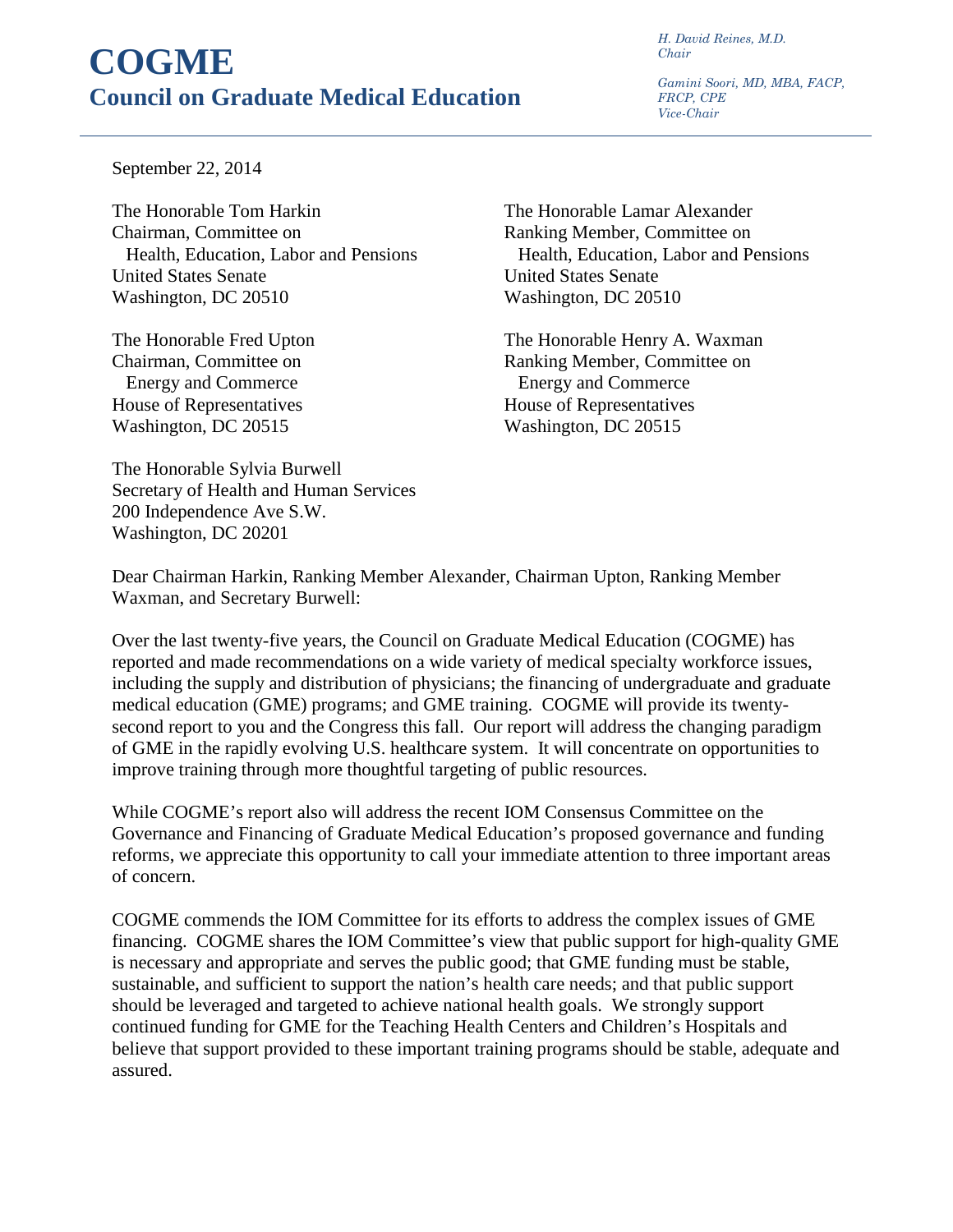## **COGME Council on Graduate Medical Education**

*H. David Reines, M.D. Chair* 

*Gamini Soori, MD, MBA, FACP, FRCP, CPE Vice-Chair*

September 22, 2014

The Honorable Tom Harkin The Honorable Lamar Alexander Chairman, Committee on Ranking Member, Committee on United States Senate United States Senate Washington, DC 20510 Washington, DC 20510

 Energy and Commerce Energy and Commerce House of Representatives House of Representatives Washington, DC 20515 Washington, DC 20515

Health, Education, Labor and Pensions Health, Education, Labor and Pensions

The Honorable Fred Upton The Honorable Henry A. Waxman Chairman, Committee on Ranking Member, Committee on

The Honorable Sylvia Burwell Secretary of Health and Human Services 200 Independence Ave S.W. Washington, DC 20201

Dear Chairman Harkin, Ranking Member Alexander, Chairman Upton, Ranking Member Waxman, and Secretary Burwell:

Over the last twenty-five years, the Council on Graduate Medical Education (COGME) has reported and made recommendations on a wide variety of medical specialty workforce issues, including the supply and distribution of physicians; the financing of undergraduate and graduate medical education (GME) programs; and GME training. COGME will provide its twentysecond report to you and the Congress this fall. Our report will address the changing paradigm of GME in the rapidly evolving U.S. healthcare system. It will concentrate on opportunities to improve training through more thoughtful targeting of public resources.

While COGME's report also will address the recent IOM Consensus Committee on the Governance and Financing of Graduate Medical Education's proposed governance and funding reforms, we appreciate this opportunity to call your immediate attention to three important areas of concern.

COGME commends the IOM Committee for its efforts to address the complex issues of GME financing. COGME shares the IOM Committee's view that public support for high-quality GME is necessary and appropriate and serves the public good; that GME funding must be stable, sustainable, and sufficient to support the nation's health care needs; and that public support should be leveraged and targeted to achieve national health goals. We strongly support continued funding for GME for the Teaching Health Centers and Children's Hospitals and believe that support provided to these important training programs should be stable, adequate and assured.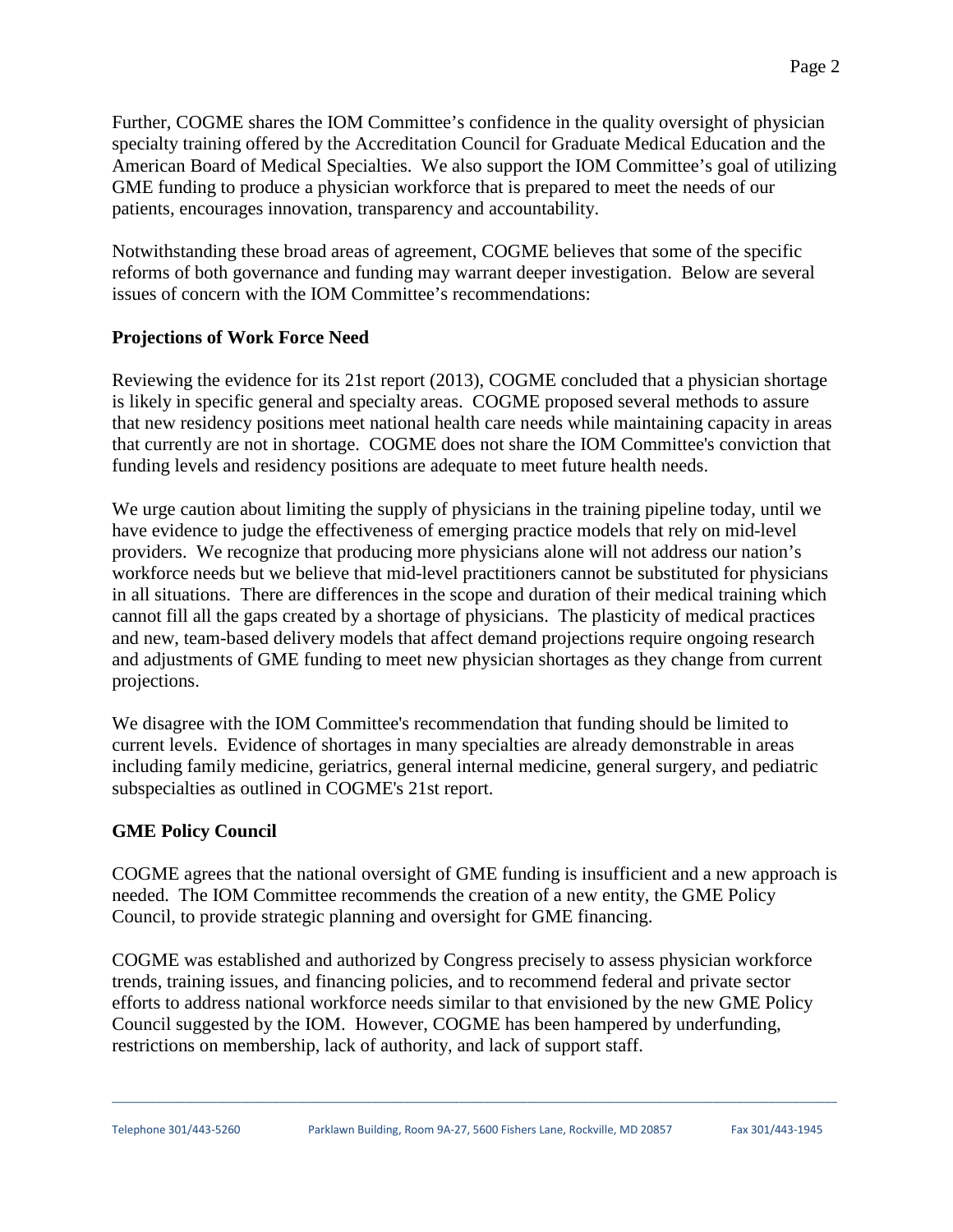Further, COGME shares the IOM Committee's confidence in the quality oversight of physician specialty training offered by the Accreditation Council for Graduate Medical Education and the American Board of Medical Specialties. We also support the IOM Committee's goal of utilizing GME funding to produce a physician workforce that is prepared to meet the needs of our patients, encourages innovation, transparency and accountability.

Notwithstanding these broad areas of agreement, COGME believes that some of the specific reforms of both governance and funding may warrant deeper investigation. Below are several issues of concern with the IOM Committee's recommendations:

## **Projections of Work Force Need**

Reviewing the evidence for its 21st report (2013), COGME concluded that a physician shortage is likely in specific general and specialty areas. COGME proposed several methods to assure that new residency positions meet national health care needs while maintaining capacity in areas that currently are not in shortage. COGME does not share the IOM Committee's conviction that funding levels and residency positions are adequate to meet future health needs.

We urge caution about limiting the supply of physicians in the training pipeline today, until we have evidence to judge the effectiveness of emerging practice models that rely on mid-level providers. We recognize that producing more physicians alone will not address our nation's workforce needs but we believe that mid-level practitioners cannot be substituted for physicians in all situations. There are differences in the scope and duration of their medical training which cannot fill all the gaps created by a shortage of physicians. The plasticity of medical practices and new, team-based delivery models that affect demand projections require ongoing research and adjustments of GME funding to meet new physician shortages as they change from current projections.

We disagree with the IOM Committee's recommendation that funding should be limited to current levels. Evidence of shortages in many specialties are already demonstrable in areas including family medicine, geriatrics, general internal medicine, general surgery, and pediatric subspecialties as outlined in COGME's 21st report.

## **GME Policy Council**

COGME agrees that the national oversight of GME funding is insufficient and a new approach is needed. The IOM Committee recommends the creation of a new entity, the GME Policy Council, to provide strategic planning and oversight for GME financing.

COGME was established and authorized by Congress precisely to assess physician workforce trends, training issues, and financing policies, and to recommend federal and private sector efforts to address national workforce needs similar to that envisioned by the new GME Policy Council suggested by the IOM. However, COGME has been hampered by underfunding, restrictions on membership, lack of authority, and lack of support staff.

\_\_\_\_\_\_\_\_\_\_\_\_\_\_\_\_\_\_\_\_\_\_\_\_\_\_\_\_\_\_\_\_\_\_\_\_\_\_\_\_\_\_\_\_\_\_\_\_\_\_\_\_\_\_\_\_\_\_\_\_\_\_\_\_\_\_\_\_\_\_\_\_\_\_\_\_\_\_\_\_\_\_\_\_\_\_\_\_\_\_\_\_\_\_\_\_\_\_\_\_\_\_\_\_\_\_\_\_\_\_\_\_\_\_\_\_\_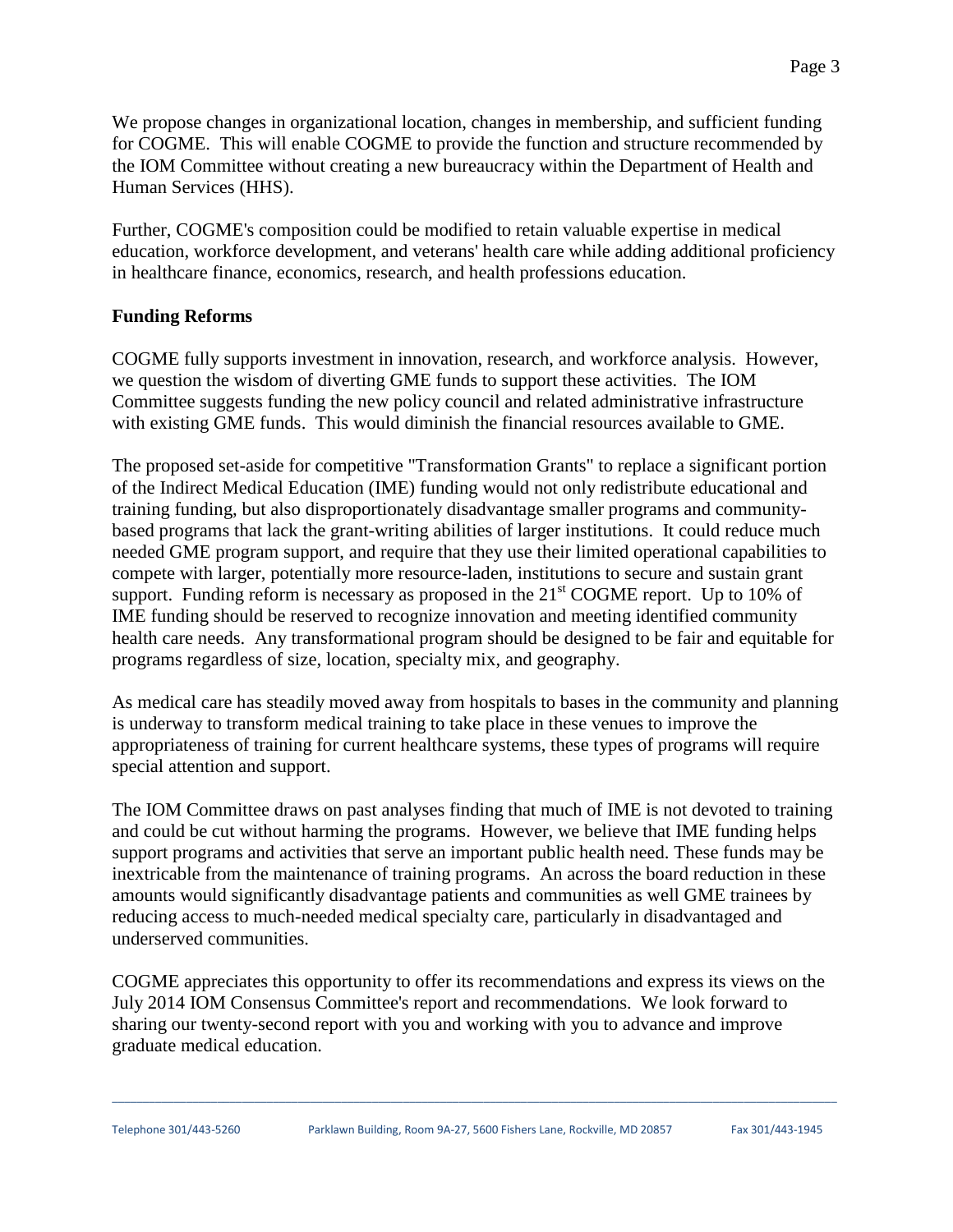We propose changes in organizational location, changes in membership, and sufficient funding for COGME. This will enable COGME to provide the function and structure recommended by the IOM Committee without creating a new bureaucracy within the Department of Health and Human Services (HHS).

Further, COGME's composition could be modified to retain valuable expertise in medical education, workforce development, and veterans' health care while adding additional proficiency in healthcare finance, economics, research, and health professions education.

## **Funding Reforms**

COGME fully supports investment in innovation, research, and workforce analysis. However, we question the wisdom of diverting GME funds to support these activities. The IOM Committee suggests funding the new policy council and related administrative infrastructure with existing GME funds. This would diminish the financial resources available to GME.

The proposed set-aside for competitive "Transformation Grants" to replace a significant portion of the Indirect Medical Education (IME) funding would not only redistribute educational and training funding, but also disproportionately disadvantage smaller programs and communitybased programs that lack the grant-writing abilities of larger institutions. It could reduce much needed GME program support, and require that they use their limited operational capabilities to compete with larger, potentially more resource-laden, institutions to secure and sustain grant support. Funding reform is necessary as proposed in the  $21<sup>st</sup>$  COGME report. Up to 10% of IME funding should be reserved to recognize innovation and meeting identified community health care needs. Any transformational program should be designed to be fair and equitable for programs regardless of size, location, specialty mix, and geography.

As medical care has steadily moved away from hospitals to bases in the community and planning is underway to transform medical training to take place in these venues to improve the appropriateness of training for current healthcare systems, these types of programs will require special attention and support.

The IOM Committee draws on past analyses finding that much of IME is not devoted to training and could be cut without harming the programs. However, we believe that IME funding helps support programs and activities that serve an important public health need. These funds may be inextricable from the maintenance of training programs. An across the board reduction in these amounts would significantly disadvantage patients and communities as well GME trainees by reducing access to much-needed medical specialty care, particularly in disadvantaged and underserved communities.

COGME appreciates this opportunity to offer its recommendations and express its views on the July 2014 IOM Consensus Committee's report and recommendations. We look forward to sharing our twenty-second report with you and working with you to advance and improve graduate medical education.

\_\_\_\_\_\_\_\_\_\_\_\_\_\_\_\_\_\_\_\_\_\_\_\_\_\_\_\_\_\_\_\_\_\_\_\_\_\_\_\_\_\_\_\_\_\_\_\_\_\_\_\_\_\_\_\_\_\_\_\_\_\_\_\_\_\_\_\_\_\_\_\_\_\_\_\_\_\_\_\_\_\_\_\_\_\_\_\_\_\_\_\_\_\_\_\_\_\_\_\_\_\_\_\_\_\_\_\_\_\_\_\_\_\_\_\_\_